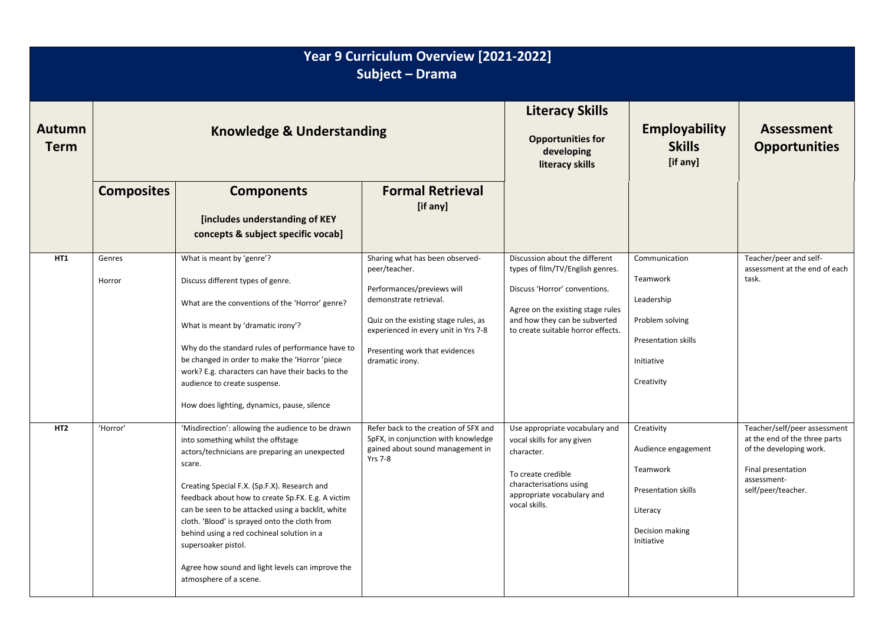| Year 9 Curriculum Overview [2021-2022]<br>Subject - Drama |                                      |                                                                                                                                                                                                                                                                                                                                                                                                                                                                                                                   |                                                                                                                                                                                                                                               |                                                                                                                                                                                                                 |                                                                                                                          |                                                                                                                                                     |  |  |
|-----------------------------------------------------------|--------------------------------------|-------------------------------------------------------------------------------------------------------------------------------------------------------------------------------------------------------------------------------------------------------------------------------------------------------------------------------------------------------------------------------------------------------------------------------------------------------------------------------------------------------------------|-----------------------------------------------------------------------------------------------------------------------------------------------------------------------------------------------------------------------------------------------|-----------------------------------------------------------------------------------------------------------------------------------------------------------------------------------------------------------------|--------------------------------------------------------------------------------------------------------------------------|-----------------------------------------------------------------------------------------------------------------------------------------------------|--|--|
| <b>Autumn</b><br><b>Term</b>                              | <b>Knowledge &amp; Understanding</b> |                                                                                                                                                                                                                                                                                                                                                                                                                                                                                                                   |                                                                                                                                                                                                                                               | <b>Literacy Skills</b><br><b>Opportunities for</b><br>developing<br>literacy skills                                                                                                                             | <b>Employability</b><br><b>Skills</b><br>[if any]                                                                        | <b>Assessment</b><br><b>Opportunities</b>                                                                                                           |  |  |
|                                                           | <b>Composites</b>                    | <b>Components</b><br>[includes understanding of KEY<br>concepts & subject specific vocab]                                                                                                                                                                                                                                                                                                                                                                                                                         | <b>Formal Retrieval</b><br>[if any]                                                                                                                                                                                                           |                                                                                                                                                                                                                 |                                                                                                                          |                                                                                                                                                     |  |  |
| HT1                                                       | Genres<br>Horror                     | What is meant by 'genre'?<br>Discuss different types of genre.<br>What are the conventions of the 'Horror' genre?<br>What is meant by 'dramatic irony'?<br>Why do the standard rules of performance have to<br>be changed in order to make the 'Horror' piece<br>work? E.g. characters can have their backs to the<br>audience to create suspense.<br>How does lighting, dynamics, pause, silence                                                                                                                 | Sharing what has been observed-<br>peer/teacher.<br>Performances/previews will<br>demonstrate retrieval.<br>Quiz on the existing stage rules, as<br>experienced in every unit in Yrs 7-8<br>Presenting work that evidences<br>dramatic irony. | Discussion about the different<br>types of film/TV/English genres.<br>Discuss 'Horror' conventions.<br>Agree on the existing stage rules<br>and how they can be subverted<br>to create suitable horror effects. | Communication<br>Teamwork<br>Leadership<br>Problem solving<br>Presentation skills<br>Initiative<br>Creativity            | Teacher/peer and self-<br>assessment at the end of each<br>task.                                                                                    |  |  |
| HT <sub>2</sub>                                           | 'Horror'                             | 'Misdirection': allowing the audience to be drawn<br>into something whilst the offstage<br>actors/technicians are preparing an unexpected<br>scare.<br>Creating Special F.X. (Sp.F.X). Research and<br>feedback about how to create Sp.FX. E.g. A victim<br>can be seen to be attacked using a backlit, white<br>cloth. 'Blood' is sprayed onto the cloth from<br>behind using a red cochineal solution in a<br>supersoaker pistol.<br>Agree how sound and light levels can improve the<br>atmosphere of a scene. | Refer back to the creation of SFX and<br>SpFX, in conjunction with knowledge<br>gained about sound management in<br><b>Yrs 7-8</b>                                                                                                            | Use appropriate vocabulary and<br>vocal skills for any given<br>character.<br>To create credible<br>characterisations using<br>appropriate vocabulary and<br>vocal skills.                                      | Creativity<br>Audience engagement<br>Teamwork<br><b>Presentation skills</b><br>Literacy<br>Decision making<br>Initiative | Teacher/self/peer assessment<br>at the end of the three parts<br>of the developing work.<br>Final presentation<br>assessment-<br>self/peer/teacher. |  |  |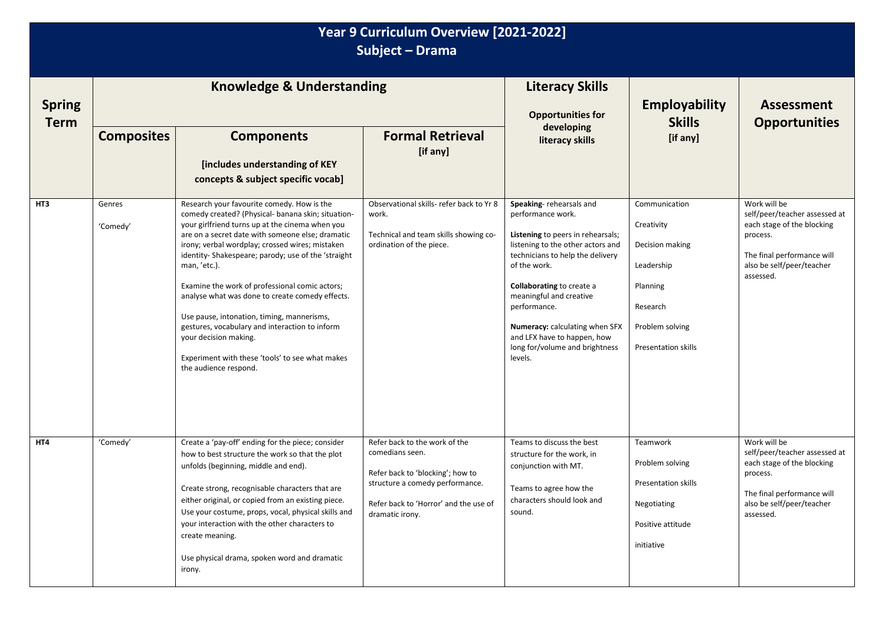| Year 9 Curriculum Overview [2021-2022]<br>Subject - Drama |                                      |                                                                                                                                                                                                                                                                                                                                                                                                                                                                                                                                                                                                                                            |                                                                                                                                                                                     |                                                                                                                                                                                                                                                                                                                                                                         |                                                                                                                                       |                                                                                                                                                                 |  |
|-----------------------------------------------------------|--------------------------------------|--------------------------------------------------------------------------------------------------------------------------------------------------------------------------------------------------------------------------------------------------------------------------------------------------------------------------------------------------------------------------------------------------------------------------------------------------------------------------------------------------------------------------------------------------------------------------------------------------------------------------------------------|-------------------------------------------------------------------------------------------------------------------------------------------------------------------------------------|-------------------------------------------------------------------------------------------------------------------------------------------------------------------------------------------------------------------------------------------------------------------------------------------------------------------------------------------------------------------------|---------------------------------------------------------------------------------------------------------------------------------------|-----------------------------------------------------------------------------------------------------------------------------------------------------------------|--|
| <b>Spring</b><br><b>Term</b>                              | <b>Knowledge &amp; Understanding</b> |                                                                                                                                                                                                                                                                                                                                                                                                                                                                                                                                                                                                                                            |                                                                                                                                                                                     | <b>Literacy Skills</b><br><b>Opportunities for</b>                                                                                                                                                                                                                                                                                                                      | <b>Employability</b><br><b>Skills</b>                                                                                                 | <b>Assessment</b><br><b>Opportunities</b>                                                                                                                       |  |
|                                                           | <b>Composites</b>                    | <b>Components</b><br>[includes understanding of KEY<br>concepts & subject specific vocab]                                                                                                                                                                                                                                                                                                                                                                                                                                                                                                                                                  | <b>Formal Retrieval</b><br>[if any]                                                                                                                                                 | developing<br>literacy skills                                                                                                                                                                                                                                                                                                                                           | [if any]                                                                                                                              |                                                                                                                                                                 |  |
| HT3                                                       | Genres<br>'Comedy'                   | Research your favourite comedy. How is the<br>comedy created? (Physical- banana skin; situation-<br>your girlfriend turns up at the cinema when you<br>are on a secret date with someone else; dramatic<br>irony; verbal wordplay; crossed wires; mistaken<br>identity-Shakespeare; parody; use of the 'straight<br>man, 'etc.).<br>Examine the work of professional comic actors;<br>analyse what was done to create comedy effects.<br>Use pause, intonation, timing, mannerisms,<br>gestures, vocabulary and interaction to inform<br>your decision making.<br>Experiment with these 'tools' to see what makes<br>the audience respond. | Observational skills- refer back to Yr 8<br>work.<br>Technical and team skills showing co-<br>ordination of the piece.                                                              | Speaking-rehearsals and<br>performance work.<br>Listening to peers in rehearsals;<br>listening to the other actors and<br>technicians to help the delivery<br>of the work.<br><b>Collaborating to create a</b><br>meaningful and creative<br>performance.<br>Numeracy: calculating when SFX<br>and LFX have to happen, how<br>long for/volume and brightness<br>levels. | Communication<br>Creativity<br>Decision making<br>Leadership<br>Planning<br>Research<br>Problem solving<br><b>Presentation skills</b> | Work will be<br>self/peer/teacher assessed at<br>each stage of the blocking<br>process.<br>The final performance will<br>also be self/peer/teacher<br>assessed. |  |
| HT4                                                       | 'Comedy'                             | Create a 'pay-off' ending for the piece; consider<br>how to best structure the work so that the plot<br>unfolds (beginning, middle and end).<br>Create strong, recognisable characters that are<br>either original, or copied from an existing piece.<br>Use your costume, props, vocal, physical skills and<br>your interaction with the other characters to<br>create meaning.<br>Use physical drama, spoken word and dramatic<br>irony.                                                                                                                                                                                                 | Refer back to the work of the<br>comedians seen.<br>Refer back to 'blocking'; how to<br>structure a comedy performance.<br>Refer back to 'Horror' and the use of<br>dramatic irony. | Teams to discuss the best<br>structure for the work, in<br>conjunction with MT.<br>Teams to agree how the<br>characters should look and<br>sound.                                                                                                                                                                                                                       | <b>Teamwork</b><br>Problem solving<br>Presentation skills<br>Negotiating<br>Positive attitude<br>initiative                           | Work will be<br>self/peer/teacher assessed at<br>each stage of the blocking<br>process.<br>The final performance will<br>also be self/peer/teacher<br>assessed. |  |